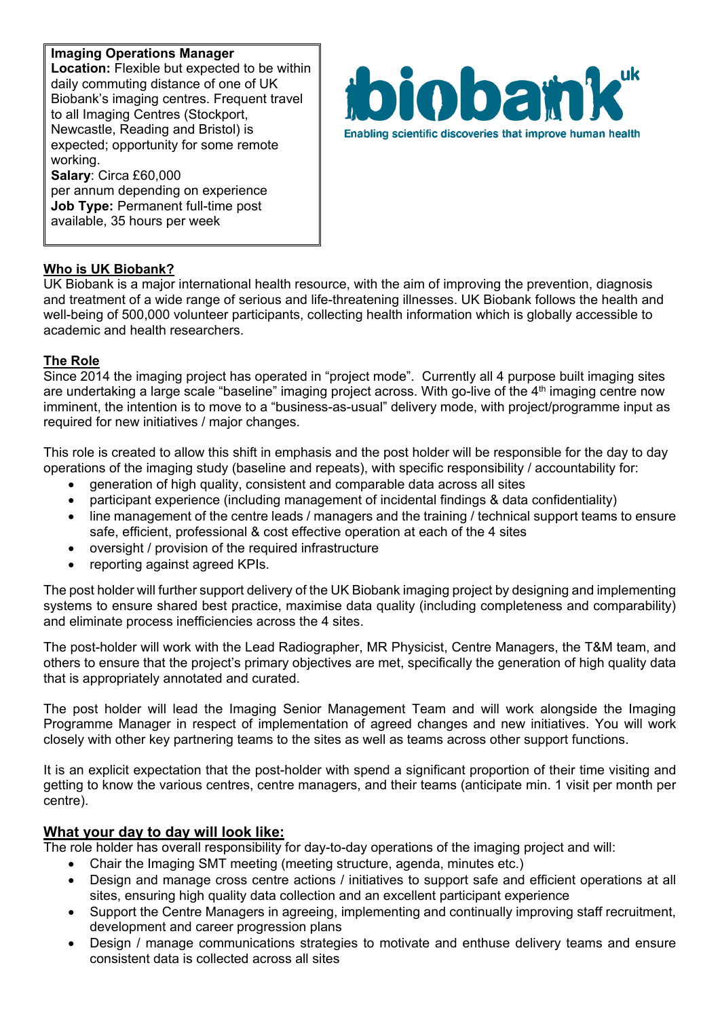**Imaging Operations Manager Location:** Flexible but expected to be within daily commuting distance of one of UK Biobank's imaging centres. Frequent travel to all Imaging Centres (Stockport, Newcastle, Reading and Bristol) is expected; opportunity for some remote working. **Salary**: Circa £60,000

per annum depending on experience **Job Type:** Permanent full-time post available, 35 hours per week



### **Who is UK Biobank?**

UK Biobank is a major international health resource, with the aim of improving the prevention, diagnosis and treatment of a wide range of serious and life-threatening illnesses. UK Biobank follows the health and well-being of 500,000 volunteer participants, collecting health information which is globally accessible to academic and health researchers.

### **The Role**

Since 2014 the imaging project has operated in "project mode". Currently all 4 purpose built imaging sites are undertaking a large scale "baseline" imaging project across. With go-live of the 4<sup>th</sup> imaging centre now imminent, the intention is to move to a "business-as-usual" delivery mode, with project/programme input as required for new initiatives / major changes.

This role is created to allow this shift in emphasis and the post holder will be responsible for the day to day operations of the imaging study (baseline and repeats), with specific responsibility / accountability for:

- generation of high quality, consistent and comparable data across all sites
- participant experience (including management of incidental findings & data confidentiality)
- line management of the centre leads / managers and the training / technical support teams to ensure safe, efficient, professional & cost effective operation at each of the 4 sites
- oversight / provision of the required infrastructure
- reporting against agreed KPIs.

The post holder will further support delivery of the UK Biobank imaging project by designing and implementing systems to ensure shared best practice, maximise data quality (including completeness and comparability) and eliminate process inefficiencies across the 4 sites.

The post-holder will work with the Lead Radiographer, MR Physicist, Centre Managers, the T&M team, and others to ensure that the project's primary objectives are met, specifically the generation of high quality data that is appropriately annotated and curated.

The post holder will lead the Imaging Senior Management Team and will work alongside the Imaging Programme Manager in respect of implementation of agreed changes and new initiatives. You will work closely with other key partnering teams to the sites as well as teams across other support functions.

It is an explicit expectation that the post-holder with spend a significant proportion of their time visiting and getting to know the various centres, centre managers, and their teams (anticipate min. 1 visit per month per centre).

### **What your day to day will look like:**

The role holder has overall responsibility for day-to-day operations of the imaging project and will:

- Chair the Imaging SMT meeting (meeting structure, agenda, minutes etc.)
- Design and manage cross centre actions / initiatives to support safe and efficient operations at all sites, ensuring high quality data collection and an excellent participant experience
- Support the Centre Managers in agreeing, implementing and continually improving staff recruitment, development and career progression plans
- Design / manage communications strategies to motivate and enthuse delivery teams and ensure consistent data is collected across all sites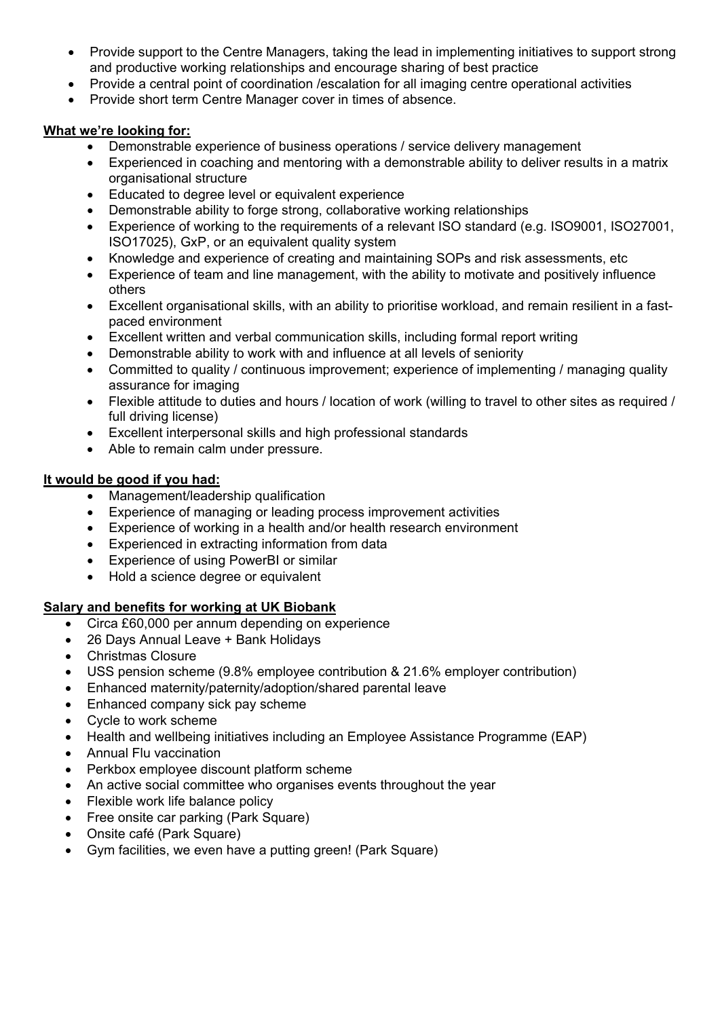- Provide support to the Centre Managers, taking the lead in implementing initiatives to support strong and productive working relationships and encourage sharing of best practice
- Provide a central point of coordination /escalation for all imaging centre operational activities
- Provide short term Centre Manager cover in times of absence.

# **What we're looking for:**

- Demonstrable experience of business operations / service delivery management
- Experienced in coaching and mentoring with a demonstrable ability to deliver results in a matrix organisational structure
- Educated to degree level or equivalent experience
- Demonstrable ability to forge strong, collaborative working relationships
- Experience of working to the requirements of a relevant ISO standard (e.g. ISO9001, ISO27001, ISO17025), GxP, or an equivalent quality system
- Knowledge and experience of creating and maintaining SOPs and risk assessments, etc
- Experience of team and line management, with the ability to motivate and positively influence others
- Excellent organisational skills, with an ability to prioritise workload, and remain resilient in a fastpaced environment
- Excellent written and verbal communication skills, including formal report writing
- Demonstrable ability to work with and influence at all levels of seniority
- Committed to quality / continuous improvement; experience of implementing / managing quality assurance for imaging
- Flexible attitude to duties and hours / location of work (willing to travel to other sites as required / full driving license)
- Excellent interpersonal skills and high professional standards
- Able to remain calm under pressure.

# **It would be good if you had:**

- Management/leadership qualification
- Experience of managing or leading process improvement activities
- Experience of working in a health and/or health research environment
- Experienced in extracting information from data
- Experience of using PowerBI or similar
- Hold a science degree or equivalent

# **Salary and benefits for working at UK Biobank**

- Circa £60,000 per annum depending on experience
- 26 Days Annual Leave + Bank Holidays
- Christmas Closure
- USS pension scheme (9.8% employee contribution & 21.6% employer contribution)
- Enhanced maternity/paternity/adoption/shared parental leave
- Enhanced company sick pay scheme
- Cycle to work scheme
- Health and wellbeing initiatives including an Employee Assistance Programme (EAP)
- Annual Flu vaccination
- Perkbox employee discount platform scheme
- An active social committee who organises events throughout the year
- Flexible work life balance policy
- Free onsite car parking (Park Square)
- Onsite café (Park Square)
- Gym facilities, we even have a putting green! (Park Square)